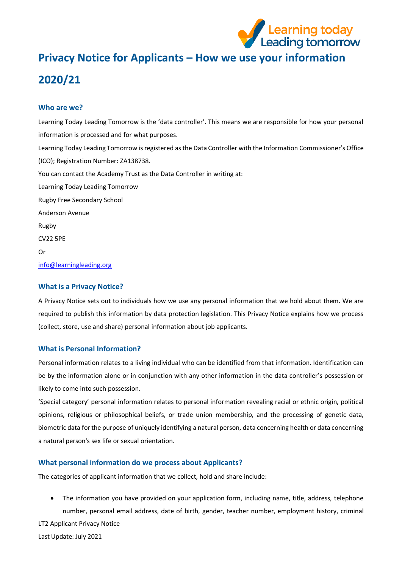

# **Privacy Notice for Applicants – How we use your information 2020/21**

## **Who are we?**

Learning Today Leading Tomorrow is the 'data controller'. This means we are responsible for how your personal information is processed and for what purposes. Learning Today Leading Tomorrow is registered as the Data Controller with the Information Commissioner's Office (ICO); Registration Number: ZA138738. You can contact the Academy Trust as the Data Controller in writing at: Learning Today Leading Tomorrow Rugby Free Secondary School Anderson Avenue Rugby CV22 5PE Or [info@learningleading.org](https://rfps-my.sharepoint.com/personal/georgina_langley_learningleading_org/Documents/GDPR/Privacy%20Notice/Parent-Carer%20Privacy%20Notices/info@learningleading.org)

## **What is a Privacy Notice?**

A Privacy Notice sets out to individuals how we use any personal information that we hold about them. We are required to publish this information by data protection legislation. This Privacy Notice explains how we process (collect, store, use and share) personal information about job applicants.

# **What is Personal Information?**

Personal information relates to a living individual who can be identified from that information. Identification can be by the information alone or in conjunction with any other information in the data controller's possession or likely to come into such possession.

'Special category' personal information relates to personal information revealing racial or ethnic origin, political opinions, religious or philosophical beliefs, or trade union membership, and the processing of genetic data, biometric data for the purpose of uniquely identifying a natural person, data concerning health or data concerning a natural person's sex life or sexual orientation.

# **What personal information do we process about Applicants?**

The categories of applicant information that we collect, hold and share include:

LT2 Applicant Privacy Notice • The information you have provided on your application form, including name, title, address, telephone number, personal email address, date of birth, gender, teacher number, employment history, criminal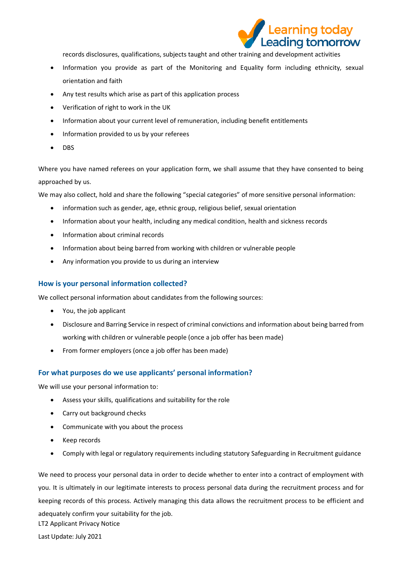

records disclosures, qualifications, subjects taught and other training and development activities

- Information you provide as part of the Monitoring and Equality form including ethnicity, sexual orientation and faith
- Any test results which arise as part of this application process
- Verification of right to work in the UK
- Information about your current level of remuneration, including benefit entitlements
- Information provided to us by your referees
- DBS

Where you have named referees on your application form, we shall assume that they have consented to being approached by us.

We may also collect, hold and share the following "special categories" of more sensitive personal information:

- information such as gender, age, ethnic group, religious belief, sexual orientation
- Information about your health, including any medical condition, health and sickness records
- Information about criminal records
- Information about being barred from working with children or vulnerable people
- Any information you provide to us during an interview

#### **How is your personal information collected?**

We collect personal information about candidates from the following sources:

- You, the job applicant
- Disclosure and Barring Service in respect of criminal convictions and information about being barred from working with children or vulnerable people (once a job offer has been made)
- From former employers (once a job offer has been made)

#### **For what purposes do we use applicants' personal information?**

We will use your personal information to:

- Assess your skills, qualifications and suitability for the role
- Carry out background checks
- Communicate with you about the process
- Keep records
- Comply with legal or regulatory requirements including statutory Safeguarding in Recruitment guidance

LT2 Applicant Privacy Notice We need to process your personal data in order to decide whether to enter into a contract of employment with you. It is ultimately in our legitimate interests to process personal data during the recruitment process and for keeping records of this process. Actively managing this data allows the recruitment process to be efficient and adequately confirm your suitability for the job.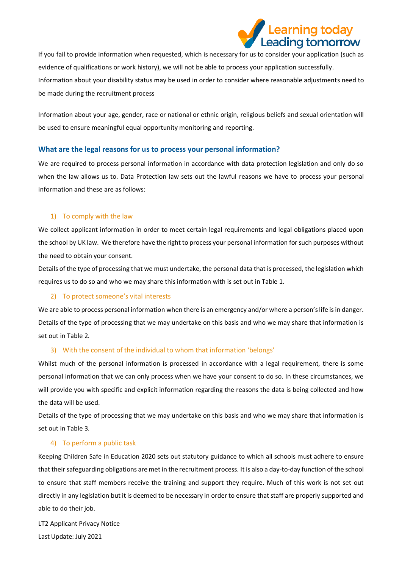

If you fail to provide information when requested, which is necessary for us to consider your application (such as evidence of qualifications or work history), we will not be able to process your application successfully. Information about your disability status may be used in order to consider where reasonable adjustments need to be made during the recruitment process

Information about your age, gender, race or national or ethnic origin, religious beliefs and sexual orientation will be used to ensure meaningful equal opportunity monitoring and reporting.

#### **What are the legal reasons for us to process your personal information?**

We are required to process personal information in accordance with data protection legislation and only do so when the law allows us to. Data Protection law sets out the lawful reasons we have to process your personal information and these are as follows:

#### 1) To comply with the law

We collect applicant information in order to meet certain legal requirements and legal obligations placed upon the school by UK law. We therefore have the right to process your personal information for such purposes without the need to obtain your consent.

Details of the type of processing that we must undertake, the personal data that is processed, the legislation which requires us to do so and who we may share this information with is set out in Table 1.

#### 2) To protect someone's vital interests

We are able to process personal information when there is an emergency and/or where a person's life is in danger. Details of the type of processing that we may undertake on this basis and who we may share that information is set out in Table 2.

#### 3) With the consent of the individual to whom that information 'belongs'

Whilst much of the personal information is processed in accordance with a legal requirement, there is some personal information that we can only process when we have your consent to do so. In these circumstances, we will provide you with specific and explicit information regarding the reasons the data is being collected and how the data will be used.

Details of the type of processing that we may undertake on this basis and who we may share that information is set out in Table 3.

#### 4) To perform a public task

Keeping Children Safe in Education 2020 sets out statutory guidance to which all schools must adhere to ensure that their safeguarding obligations are met in the recruitment process. It is also a day-to-day function of the school to ensure that staff members receive the training and support they require. Much of this work is not set out directly in any legislation but it is deemed to be necessary in order to ensure that staff are properly supported and able to do their job.

LT2 Applicant Privacy Notice Last Update: July 2021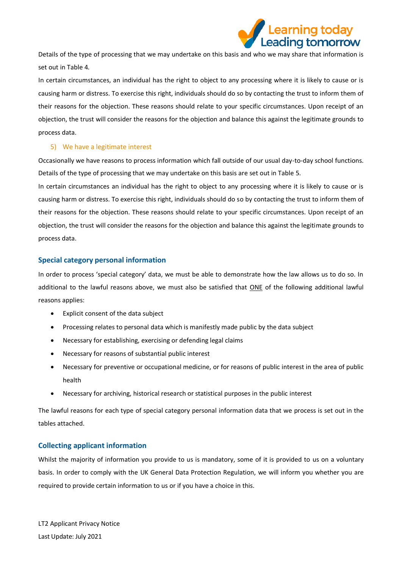

Details of the type of processing that we may undertake on this basis and who we may share that information is set out in Table 4.

In certain circumstances, an individual has the right to object to any processing where it is likely to cause or is causing harm or distress. To exercise this right, individuals should do so by contacting the trust to inform them of their reasons for the objection. These reasons should relate to your specific circumstances. Upon receipt of an objection, the trust will consider the reasons for the objection and balance this against the legitimate grounds to process data.

## 5) We have a legitimate interest

Occasionally we have reasons to process information which fall outside of our usual day-to-day school functions. Details of the type of processing that we may undertake on this basis are set out in Table 5.

In certain circumstances an individual has the right to object to any processing where it is likely to cause or is causing harm or distress. To exercise this right, individuals should do so by contacting the trust to inform them of their reasons for the objection. These reasons should relate to your specific circumstances. Upon receipt of an objection, the trust will consider the reasons for the objection and balance this against the legitimate grounds to process data.

## **Special category personal information**

In order to process 'special category' data, we must be able to demonstrate how the law allows us to do so. In additional to the lawful reasons above, we must also be satisfied that ONE of the following additional lawful reasons applies:

- Explicit consent of the data subject
- Processing relates to personal data which is manifestly made public by the data subject
- Necessary for establishing, exercising or defending legal claims
- Necessary for reasons of substantial public interest
- Necessary for preventive or occupational medicine, or for reasons of public interest in the area of public health
- Necessary for archiving, historical research or statistical purposes in the public interest

The lawful reasons for each type of special category personal information data that we process is set out in the tables attached.

# **Collecting applicant information**

Whilst the majority of information you provide to us is mandatory, some of it is provided to us on a voluntary basis. In order to comply with the UK General Data Protection Regulation, we will inform you whether you are required to provide certain information to us or if you have a choice in this.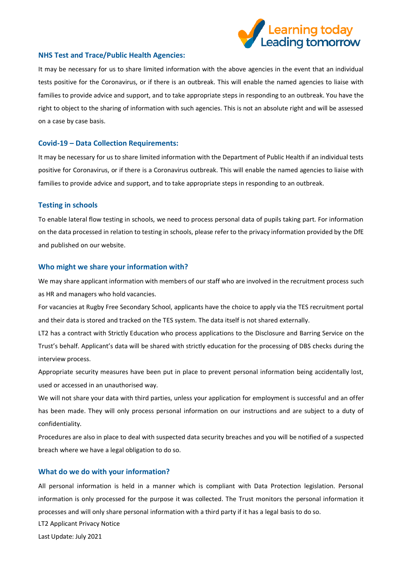

#### **NHS Test and Trace/Public Health Agencies:**

It may be necessary for us to share limited information with the above agencies in the event that an individual tests positive for the Coronavirus, or if there is an outbreak. This will enable the named agencies to liaise with families to provide advice and support, and to take appropriate steps in responding to an outbreak. You have the right to object to the sharing of information with such agencies. This is not an absolute right and will be assessed on a case by case basis.

#### **Covid-19 – Data Collection Requirements:**

It may be necessary for us to share limited information with the Department of Public Health if an individual tests positive for Coronavirus, or if there is a Coronavirus outbreak. This will enable the named agencies to liaise with families to provide advice and support, and to take appropriate steps in responding to an outbreak.

#### **Testing in schools**

To enable lateral flow testing in schools, we need to process personal data of pupils taking part. For information on the data processed in relation to testing in schools, please refer to the privacy information provided by the DfE and published on our website.

#### **Who might we share your information with?**

We may share applicant information with members of our staff who are involved in the recruitment process such as HR and managers who hold vacancies.

For vacancies at Rugby Free Secondary School, applicants have the choice to apply via the TES recruitment portal and their data is stored and tracked on the TES system. The data itself is not shared externally.

LT2 has a contract with Strictly Education who process applications to the Disclosure and Barring Service on the Trust's behalf. Applicant's data will be shared with strictly education for the processing of DBS checks during the interview process.

Appropriate security measures have been put in place to prevent personal information being accidentally lost, used or accessed in an unauthorised way.

We will not share your data with third parties, unless your application for employment is successful and an offer has been made. They will only process personal information on our instructions and are subject to a duty of confidentiality.

Procedures are also in place to deal with suspected data security breaches and you will be notified of a suspected breach where we have a legal obligation to do so.

#### **What do we do with your information?**

All personal information is held in a manner which is compliant with Data Protection legislation. Personal information is only processed for the purpose it was collected. The Trust monitors the personal information it processes and will only share personal information with a third party if it has a legal basis to do so.

LT2 Applicant Privacy Notice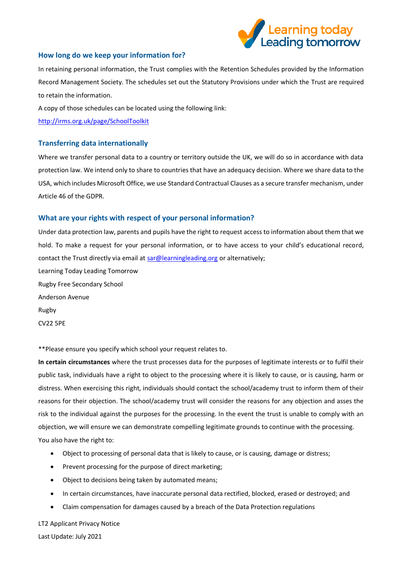

#### **How long do we keep your information for?**

In retaining personal information, the Trust complies with the Retention Schedules provided by the Information Record Management Society. The schedules set out the Statutory Provisions under which the Trust are required to retain the information.

A copy of those schedules can be located using the following link:

<http://irms.org.uk/page/SchoolToolkit>

#### **Transferring data internationally**

Where we transfer personal data to a country or territory outside the UK, we will do so in accordance with data protection law. We intend only to share to countries that have an adequacy decision. Where we share data to the USA, which includes Microsoft Office, we use Standard Contractual Clauses as a secure transfer mechanism, under Article 46 of the GDPR.

#### **What are your rights with respect of your personal information?**

Under data protection law, parents and pupils have the right to request access to information about them that we hold. To make a request for your personal information, or to have access to your child's educational record, contact the Trust directly via email a[t sar@learningleading.org](file://///file1/staff$/georgina.langley/Downloads/sar@learningleading.org) or alternatively; Learning Today Leading Tomorrow Rugby Free Secondary School Anderson Avenue Rugby CV22 5PE

\*\*Please ensure you specify which school your request relates to.

**In certain circumstances** where the trust processes data for the purposes of legitimate interests or to fulfil their public task, individuals have a right to object to the processing where it is likely to cause, or is causing, harm or distress. When exercising this right, individuals should contact the school/academy trust to inform them of their reasons for their objection. The school/academy trust will consider the reasons for any objection and asses the risk to the individual against the purposes for the processing. In the event the trust is unable to comply with an objection, we will ensure we can demonstrate compelling legitimate grounds to continue with the processing. You also have the right to:

- Object to processing of personal data that is likely to cause, or is causing, damage or distress;
- Prevent processing for the purpose of direct marketing;
- Object to decisions being taken by automated means;
- In certain circumstances, have inaccurate personal data rectified, blocked, erased or destroyed; and
- Claim compensation for damages caused by a breach of the Data Protection regulations

LT2 Applicant Privacy Notice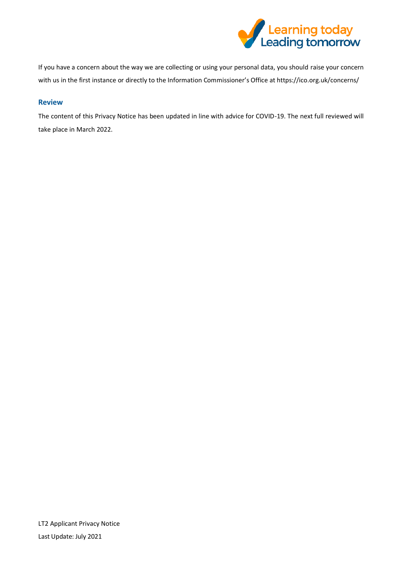

If you have a concern about the way we are collecting or using your personal data, you should raise your concern with us in the first instance or directly to the Information Commissioner's Office at https://ico.org.uk/concerns/

# **Review**

The content of this Privacy Notice has been updated in line with advice for COVID-19. The next full reviewed will take place in March 2022.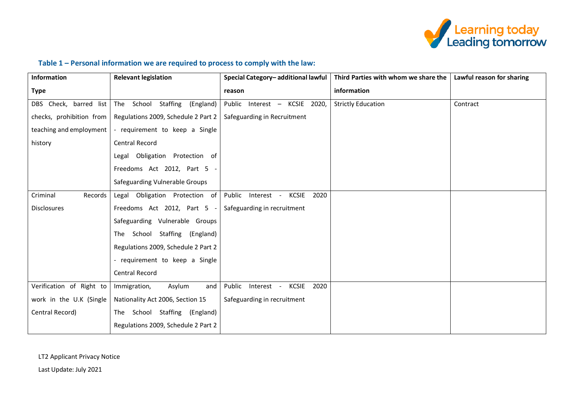

# **Table 1 – Personal information we are required to process to comply with the law:**

| Information              | <b>Relevant legislation</b>         | Special Category-additional lawful           | Third Parties with whom we share the | Lawful reason for sharing |
|--------------------------|-------------------------------------|----------------------------------------------|--------------------------------------|---------------------------|
| <b>Type</b>              |                                     | reason                                       | information                          |                           |
| DBS Check, barred list   | The School Staffing<br>(England)    | Public Interest - KCSIE 2020,                | <b>Strictly Education</b>            | Contract                  |
| checks, prohibition from | Regulations 2009, Schedule 2 Part 2 | Safeguarding in Recruitment                  |                                      |                           |
| teaching and employment  | - requirement to keep a Single      |                                              |                                      |                           |
| history                  | Central Record                      |                                              |                                      |                           |
|                          | Legal Obligation Protection of      |                                              |                                      |                           |
|                          | Freedoms Act 2012, Part 5 -         |                                              |                                      |                           |
|                          | Safeguarding Vulnerable Groups      |                                              |                                      |                           |
| Records<br>Criminal      | Legal Obligation Protection of      | Public<br>Interest -<br><b>KCSIE</b><br>2020 |                                      |                           |
| <b>Disclosures</b>       | Freedoms Act 2012, Part 5           | Safeguarding in recruitment                  |                                      |                           |
|                          | Safeguarding Vulnerable Groups      |                                              |                                      |                           |
|                          | The School Staffing (England)       |                                              |                                      |                           |
|                          | Regulations 2009, Schedule 2 Part 2 |                                              |                                      |                           |
|                          | - requirement to keep a Single      |                                              |                                      |                           |
|                          | Central Record                      |                                              |                                      |                           |
| Verification of Right to | Asylum<br>Immigration,<br>and       | Public<br>Interest -<br>KCSIE<br>2020        |                                      |                           |
| work in the U.K (Single  | Nationality Act 2006, Section 15    | Safeguarding in recruitment                  |                                      |                           |
| Central Record)          | The School Staffing (England)       |                                              |                                      |                           |
|                          | Regulations 2009, Schedule 2 Part 2 |                                              |                                      |                           |

LT2 Applicant Privacy Notice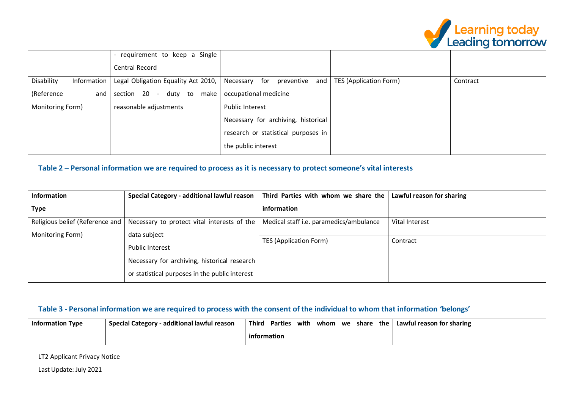

|                           | requirement to keep a Single                                 |                                     |                               |          |
|---------------------------|--------------------------------------------------------------|-------------------------------------|-------------------------------|----------|
|                           | Central Record                                               |                                     |                               |          |
| Disability<br>Information | Legal Obligation Equality Act 2010, Necessary for preventive | and                                 | <b>TES (Application Form)</b> | Contract |
| (Reference<br>and         | section 20 - duty to<br>make                                 | occupational medicine               |                               |          |
| Monitoring Form)          | reasonable adjustments                                       | <b>Public Interest</b>              |                               |          |
|                           |                                                              | Necessary for archiving, historical |                               |          |
|                           |                                                              | research or statistical purposes in |                               |          |
|                           |                                                              | the public interest                 |                               |          |

# **Table 2 – Personal information we are required to process as it is necessary to protect someone's vital interests**

| <b>Information</b>              | Special Category - additional lawful reason    | Third Parties with whom we share the    | Lawful reason for sharing |
|---------------------------------|------------------------------------------------|-----------------------------------------|---------------------------|
| <b>Type</b>                     |                                                | information                             |                           |
| Religious belief (Reference and | Necessary to protect vital interests of the    | Medical staff i.e. paramedics/ambulance | Vital Interest            |
| Monitoring Form)                | data subject                                   |                                         |                           |
|                                 |                                                | <b>TES (Application Form)</b>           | Contract                  |
|                                 | Public Interest                                |                                         |                           |
|                                 | Necessary for archiving, historical research   |                                         |                           |
|                                 | or statistical purposes in the public interest |                                         |                           |

# **Table 3 - Personal information we are required to process with the consent of the individual to whom that information 'belongs'**

| Information Type | additional lawful reason -<br><b>Special Category</b> | Thira       | <b>Parties</b> | with | whom | we | share | the | Lawful reason for sharing |
|------------------|-------------------------------------------------------|-------------|----------------|------|------|----|-------|-----|---------------------------|
|                  |                                                       | information |                |      |      |    |       |     |                           |

LT2 Applicant Privacy Notice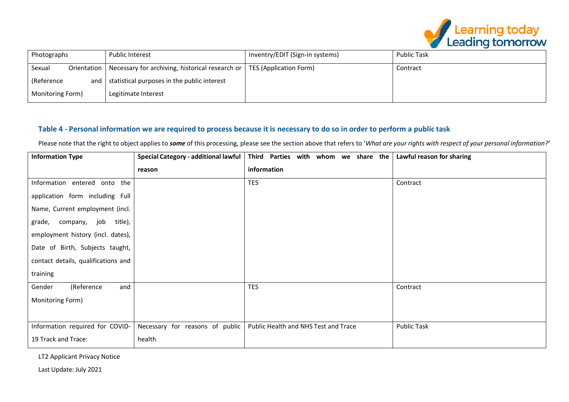

|                    |                                                               |                                 | ' Learning today<br><b>Leading tomorrow</b> |
|--------------------|---------------------------------------------------------------|---------------------------------|---------------------------------------------|
| Photographs        | <b>Public Interest</b>                                        | Inventry/EDIT (Sign-in systems) | <b>Public Task</b>                          |
| Sexual             | Orientation   Necessary for archiving, historical research or | <b>TES (Application Form)</b>   | Contract                                    |
| (Reference)<br>and | $\vert$ statistical purposes in the public interest           |                                 |                                             |
| Monitoring Form)   | Legitimate Interest                                           |                                 |                                             |

# **Table 4 - Personal information we are required to process because it is necessary to do so in order to perform a public task**

Please note that the right to object applies to *some* of this processing, please see the section above that refers to '*What are your rights with respect of your personal information?'*

| <b>Information Type</b>             | Special Category - additional lawful | Third Parties with whom we share the | Lawful reason for sharing |
|-------------------------------------|--------------------------------------|--------------------------------------|---------------------------|
|                                     | reason                               | information                          |                           |
| Information entered onto the        |                                      | <b>TES</b>                           | Contract                  |
| application form including Full     |                                      |                                      |                           |
| Name, Current employment (incl.     |                                      |                                      |                           |
| title),<br>company, job<br>grade,   |                                      |                                      |                           |
| employment history (incl. dates),   |                                      |                                      |                           |
| Date of Birth, Subjects taught,     |                                      |                                      |                           |
| contact details, qualifications and |                                      |                                      |                           |
| training                            |                                      |                                      |                           |
| (Reference<br>Gender<br>and         |                                      | <b>TES</b>                           | Contract                  |
| Monitoring Form)                    |                                      |                                      |                           |
|                                     |                                      |                                      |                           |
| Information required for COVID-     | Necessary for reasons of public      | Public Health and NHS Test and Trace | <b>Public Task</b>        |
| 19 Track and Trace:                 | health                               |                                      |                           |

LT2 Applicant Privacy Notice